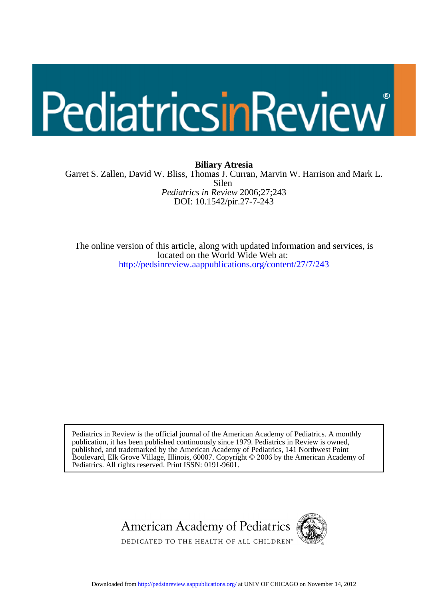# PediatricsinReview

DOI: 10.1542/pir.27-7-243 *Pediatrics in Review* 2006;27;243 Silen Garret S. Zallen, David W. Bliss, Thomas J. Curran, Marvin W. Harrison and Mark L. **Biliary Atresia**

[http://pedsinreview.aappublications.org/content/27/7/243](http://http://pedsinreview.aappublications.org/content/27/7/243) located on the World Wide Web at: The online version of this article, along with updated information and services, is

Pediatrics. All rights reserved. Print ISSN: 0191-9601. Boulevard, Elk Grove Village, Illinois, 60007. Copyright © 2006 by the American Academy of published, and trademarked by the American Academy of Pediatrics, 141 Northwest Point publication, it has been published continuously since 1979. Pediatrics in Review is owned, Pediatrics in Review is the official journal of the American Academy of Pediatrics. A monthly

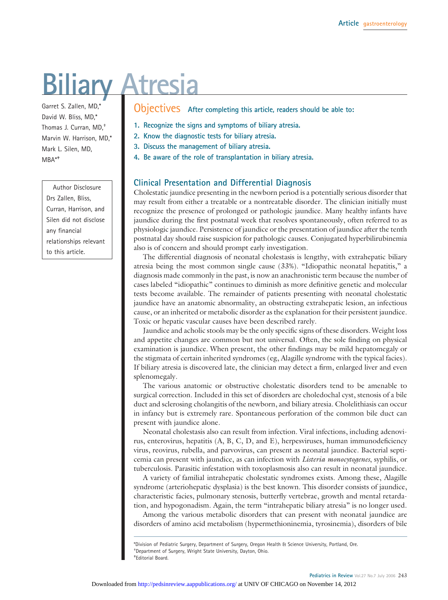### **Biliary Atresi**

Garret S. Zallen, MD,\* David W. Bliss, MD,\* Thomas J. Curran, MD,† Marvin W. Harrison, MD,\* Mark L. Silen, MD, MBA\*‡

Author Disclosure Drs Zallen, Bliss, Curran, Harrison, and Silen did not disclose any financial relationships relevant to this article.

#### Objectives **After completing this article, readers should be able to:**

- **1. Recognize the signs and symptoms of biliary atresia.**
- **2. Know the diagnostic tests for biliary atresia.**
- **3. Discuss the management of biliary atresia.**
- **4. Be aware of the role of transplantation in biliary atresia.**

#### **Clinical Presentation and Differential Diagnosis**

Cholestatic jaundice presenting in the newborn period is a potentially serious disorder that may result from either a treatable or a nontreatable disorder. The clinician initially must recognize the presence of prolonged or pathologic jaundice. Many healthy infants have jaundice during the first postnatal week that resolves spontaneously, often referred to as physiologic jaundice. Persistence of jaundice or the presentation of jaundice after the tenth postnatal day should raise suspicion for pathologic causes. Conjugated hyperbilirubinemia also is of concern and should prompt early investigation.

The differential diagnosis of neonatal cholestasis is lengthy, with extrahepatic biliary atresia being the most common single cause (33%). "Idiopathic neonatal hepatitis," a diagnosis made commonly in the past, is now an anachronistic term because the number of cases labeled "idiopathic" continues to diminish as more definitive genetic and molecular tests become available. The remainder of patients presenting with neonatal cholestatic jaundice have an anatomic abnormality, an obstructing extrahepatic lesion, an infectious cause, or an inherited or metabolic disorder as the explanation for their persistent jaundice. Toxic or hepatic vascular causes have been described rarely.

Jaundice and acholic stools may be the only specific signs of these disorders. Weight loss and appetite changes are common but not universal. Often, the sole finding on physical examination is jaundice. When present, the other findings may be mild hepatomegaly or the stigmata of certain inherited syndromes (eg, Alagille syndrome with the typical facies). If biliary atresia is discovered late, the clinician may detect a firm, enlarged liver and even splenomegaly.

The various anatomic or obstructive cholestatic disorders tend to be amenable to surgical correction. Included in this set of disorders are choledochal cyst, stenosis of a bile duct and sclerosing cholangitis of the newborn, and biliary atresia. Cholelithiasis can occur in infancy but is extremely rare. Spontaneous perforation of the common bile duct can present with jaundice alone.

Neonatal cholestasis also can result from infection. Viral infections, including adenovirus, enterovirus, hepatitis (A, B, C, D, and E), herpesviruses, human immunodeficiency virus, reovirus, rubella, and parvovirus, can present as neonatal jaundice. Bacterial septicemia can present with jaundice, as can infection with *Listeria monocytogenes*, syphilis, or tuberculosis. Parasitic infestation with toxoplasmosis also can result in neonatal jaundice.

A variety of familial intrahepatic cholestatic syndromes exists. Among these, Alagille syndrome (arteriohepatic dysplasia) is the best known. This disorder consists of jaundice, characteristic facies, pulmonary stenosis, butterfly vertebrae, growth and mental retardation, and hypogonadism. Again, the term "intrahepatic biliary atresia" is no longer used.

Among the various metabolic disorders that can present with neonatal jaundice are disorders of amino acid metabolism (hypermethioninemia, tyrosinemia), disorders of bile

<sup>\*</sup>Division of Pediatric Surgery, Department of Surgery, Oregon Health & Science University, Portland, Ore. † Department of Surgery, Wright State University, Dayton, Ohio.

<sup>‡</sup> Editorial Board.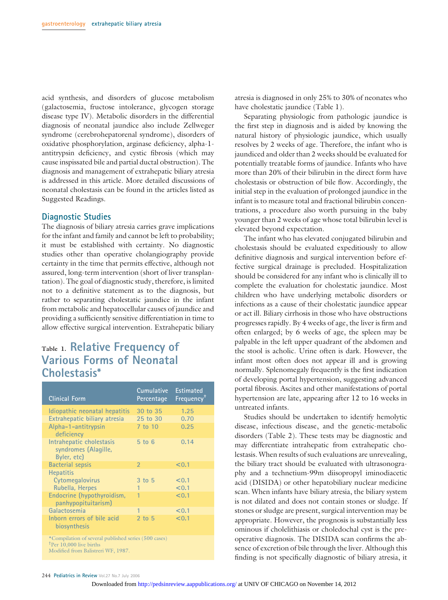acid synthesis, and disorders of glucose metabolism (galactosemia, fructose intolerance, glycogen storage disease type IV). Metabolic disorders in the differential diagnosis of neonatal jaundice also include Zellweger syndrome (cerebrohepatorenal syndrome), disorders of oxidative phosphorylation, arginase deficiency, alpha-1 antitrypsin deficiency, and cystic fibrosis (which may cause inspissated bile and partial ductal obstruction). The diagnosis and management of extrahepatic biliary atresia is addressed in this article. More detailed discussions of neonatal cholestasis can be found in the articles listed as Suggested Readings.

#### **Diagnostic Studies**

The diagnosis of biliary atresia carries grave implications for the infant and family and cannot be left to probability; it must be established with certainty. No diagnostic studies other than operative cholangiography provide certainty in the time that permits effective, although not assured, long-term intervention (short of liver transplantation). The goal of diagnostic study, therefore, is limited not to a definitive statement as to the diagnosis, but rather to separating cholestatic jaundice in the infant from metabolic and hepatocellular causes of jaundice and providing a sufficiently sensitive differentiation in time to allow effective surgical intervention. Extrahepatic biliary

#### **Table 1. Relative Frequency of Various Forms of Neonatal Cholestasis\***

| <b>Clinical Form</b>                                                                                                              | Cumulative<br>Percentage | <b>Estimated</b><br>Frequency <sup>+</sup> |
|-----------------------------------------------------------------------------------------------------------------------------------|--------------------------|--------------------------------------------|
| Idiopathic neonatal hepatitis                                                                                                     | 30 to 35                 | 1.25                                       |
| Extrahepatic biliary atresia                                                                                                      | 25 to 30                 | 0.70                                       |
| Alpha-1-antitrypsin<br>deficiency                                                                                                 | 7 to 10                  | 0.25                                       |
| Intrahepatic cholestasis<br>syndromes (Alagille,<br>Byler, etc)                                                                   | $5$ to $6$               | 0.14                                       |
| <b>Bacterial sepsis</b>                                                                                                           | 2                        | < 0.1                                      |
| <b>Hepatitis</b>                                                                                                                  |                          |                                            |
| Cytomegalovirus                                                                                                                   | 3 to 5                   | < 0.1                                      |
| Rubella, Herpes                                                                                                                   | 1                        | < 0.1                                      |
| Endocrine (hypothyroidism,<br>panhypopituitarism)                                                                                 | 1                        | < 0.1                                      |
| Galactosemia                                                                                                                      | 1                        | < 0.1                                      |
| Inborn errors of bile acid<br>biosynthesis                                                                                        | $2$ to $5$               | < 0.1                                      |
| *Compilation of several published series (500 cases)<br><sup>†</sup> Per 10,000 live births<br>Modified from Balistreri WF, 1987. |                          |                                            |

atresia is diagnosed in only 25% to 30% of neonates who have cholestatic jaundice (Table 1).

Separating physiologic from pathologic jaundice is the first step in diagnosis and is aided by knowing the natural history of physiologic jaundice, which usually resolves by 2 weeks of age. Therefore, the infant who is jaundiced and older than 2 weeks should be evaluated for potentially treatable forms of jaundice. Infants who have more than 20% of their bilirubin in the direct form have cholestasis or obstruction of bile flow. Accordingly, the initial step in the evaluation of prolonged jaundice in the infant is to measure total and fractional bilirubin concentrations, a procedure also worth pursuing in the baby younger than 2 weeks of age whose total bilirubin level is elevated beyond expectation.

The infant who has elevated conjugated bilirubin and cholestasis should be evaluated expeditiously to allow definitive diagnosis and surgical intervention before effective surgical drainage is precluded. Hospitalization should be considered for any infant who is clinically ill to complete the evaluation for cholestatic jaundice. Most children who have underlying metabolic disorders or infections as a cause of their cholestatic jaundice appear or act ill. Biliary cirrhosis in those who have obstructions progresses rapidly. By 4 weeks of age, the liver is firm and often enlarged; by 6 weeks of age, the spleen may be palpable in the left upper quadrant of the abdomen and the stool is acholic. Urine often is dark. However, the infant most often does not appear ill and is growing normally. Splenomegaly frequently is the first indication of developing portal hypertension, suggesting advanced portal fibrosis. Ascites and other manifestations of portal hypertension are late, appearing after 12 to 16 weeks in untreated infants.

Studies should be undertaken to identify hemolytic disease, infectious disease, and the genetic-metabolic disorders (Table 2). These tests may be diagnostic and may differentiate intrahepatic from extrahepatic cholestasis. When results of such evaluations are unrevealing, the biliary tract should be evaluated with ultrasonography and a technetium-99m diisopropyl iminodiacetic acid (DISIDA) or other hepatobiliary nuclear medicine scan. When infants have biliary atresia, the biliary system is not dilated and does not contain stones or sludge. If stones or sludge are present, surgical intervention may be appropriate. However, the prognosis is substantially less ominous if cholelithiasis or choledochal cyst is the preoperative diagnosis. The DISIDA scan confirms the absence of excretion of bile through the liver. Although this finding is not specifically diagnostic of biliary atresia, it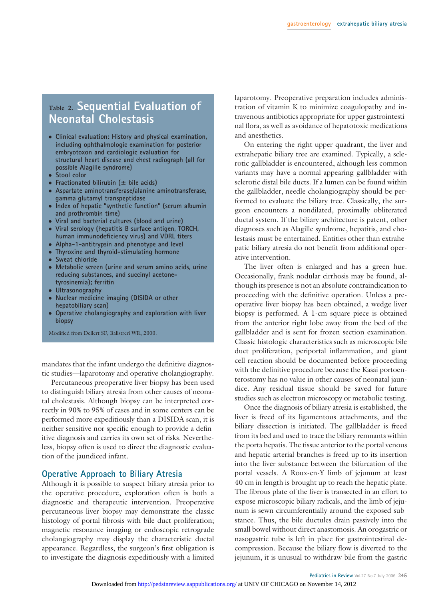#### **Table 2. Sequential Evaluation of Neonatal Cholestasis**

- **Clinical evaluation: History and physical examination, including ophthalmologic examination for posterior embryotoxon and cardiologic evaluation for structural heart disease and chest radiograph (all for possible Alagille syndrome)**
- **Stool color**
- **Fractionated bilirubin ( bile acids)**
- **Aspartate aminotransferase/alanine aminotransferase, gamma glutamyl transpeptidase**
- **Index of hepatic "synthetic function" (serum albumin and prothrombin time)**
- **Viral and bacterial cultures (blood and urine)**
- **Viral serology (hepatitis B surface antigen, TORCH, human immunodeficiency virus) and VDRL titers**
- **Alpha-1-antitrypsin and phenotype and level**
- **Thyroxine and thyroid-stimulating hormone**
- **Sweat chloride**
- **Metabolic screen (urine and serum amino acids, urine reducing substances, and succinyl acetonetyrosinemia); ferritin**
- **Ultrasonography**
- **Nuclear medicine imaging (DISIDA or other hepatobiliary scan)**
- **Operative cholangiography and exploration with liver biopsy**

Modified from Dellert SF, Balistreri WR, 2000.

mandates that the infant undergo the definitive diagnostic studies—laparotomy and operative cholangiography.

Percutaneous preoperative liver biopsy has been used to distinguish biliary atresia from other causes of neonatal cholestasis. Although biopsy can be interpreted correctly in 90% to 95% of cases and in some centers can be performed more expeditiously than a DISIDA scan, it is neither sensitive nor specific enough to provide a definitive diagnosis and carries its own set of risks. Nevertheless, biopsy often is used to direct the diagnostic evaluation of the jaundiced infant.

#### **Operative Approach to Biliary Atresia**

Although it is possible to suspect biliary atresia prior to the operative procedure, exploration often is both a diagnostic and therapeutic intervention. Preoperative percutaneous liver biopsy may demonstrate the classic histology of portal fibrosis with bile duct proliferation; magnetic resonance imaging or endoscopic retrograde cholangiography may display the characteristic ductal appearance. Regardless, the surgeon's first obligation is to investigate the diagnosis expeditiously with a limited

laparotomy. Preoperative preparation includes administration of vitamin K to minimize coagulopathy and intravenous antibiotics appropriate for upper gastrointestinal flora, as well as avoidance of hepatotoxic medications and anesthetics.

On entering the right upper quadrant, the liver and extrahepatic biliary tree are examined. Typically, a sclerotic gallbladder is encountered, although less common variants may have a normal-appearing gallbladder with sclerotic distal bile ducts. If a lumen can be found within the gallbladder, needle cholangiography should be performed to evaluate the biliary tree. Classically, the surgeon encounters a nondilated, proximally obliterated ductal system. If the biliary architecture is patent, other diagnoses such as Alagille syndrome, hepatitis, and cholestasis must be entertained. Entities other than extrahepatic biliary atresia do not benefit from additional operative intervention.

The liver often is enlarged and has a green hue. Occasionally, frank nodular cirrhosis may be found, although its presence is not an absolute contraindication to proceeding with the definitive operation. Unless a preoperative liver biopsy has been obtained, a wedge liver biopsy is performed. A 1-cm square piece is obtained from the anterior right lobe away from the bed of the gallbladder and is sent for frozen section examination. Classic histologic characteristics such as microscopic bile duct proliferation, periportal inflammation, and giant cell reaction should be documented before proceeding with the definitive procedure because the Kasai portoenterostomy has no value in other causes of neonatal jaundice. Any residual tissue should be saved for future studies such as electron microscopy or metabolic testing.

Once the diagnosis of biliary atresia is established, the liver is freed of its ligamentous attachments, and the biliary dissection is initiated. The gallbladder is freed from its bed and used to trace the biliary remnants within the porta hepatis. The tissue anterior to the portal venous and hepatic arterial branches is freed up to its insertion into the liver substance between the bifurcation of the portal vessels. A Roux-en-Y limb of jejunum at least 40 cm in length is brought up to reach the hepatic plate. The fibrous plate of the liver is transected in an effort to expose microscopic biliary radicals, and the limb of jejunum is sewn circumferentially around the exposed substance. Thus, the bile ductules drain passively into the small bowel without direct anastomosis. An orogastric or nasogastric tube is left in place for gastrointestinal decompression. Because the biliary flow is diverted to the jejunum, it is unusual to withdraw bile from the gastric

Pediatrics in Review Vol.27 No.7 July 2006 245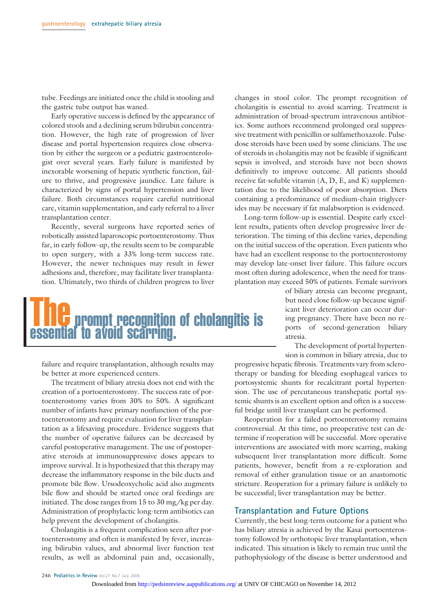tube. Feedings are initiated once the child is stooling and the gastric tube output has waned.

Early operative success is defined by the appearance of colored stools and a declining serum bilirubin concentration. However, the high rate of progression of liver disease and portal hypertension requires close observation by either the surgeon or a pediatric gastroenterologist over several years. Early failure is manifested by inexorable worsening of hepatic synthetic function, failure to thrive, and progressive jaundice. Late failure is characterized by signs of portal hypertension and liver failure. Both circumstances require careful nutritional care, vitamin supplementation, and early referral to a liver transplantation center.

Recently, several surgeons have reported series of robotically assisted laparoscopic portoenterostomy. Thus far, in early follow-up, the results seem to be comparable to open surgery, with a 33% long-term success rate. However, the newer techniques may result in fewer adhesions and, therefore, may facilitate liver transplantation. Ultimately, two thirds of children progress to liver

## prompt recognition of cholangitis is<br>I to avoid scarring.

changes in stool color. The prompt recognition of cholangitis is essential to avoid scarring. Treatment is administration of broad-spectrum intravenous antibiotics. Some authors recommend prolonged oral suppressive treatment with penicillin or sulfamethoxazole. Pulsedose steroids have been used by some clinicians. The use of steroids in cholangitis may not be feasible if significant sepsis is involved, and steroids have not been shown definitively to improve outcome. All patients should receive fat-soluble vitamin (A, D, E, and K) supplementation due to the likelihood of poor absorption. Diets containing a predominance of medium-chain triglycerides may be necessary if fat malabsorption is evidenced.

Long-term follow-up is essential. Despite early excellent results, patients often develop progressive liver deterioration. The timing of this decline varies, depending on the initial success of the operation. Even patients who have had an excellent response to the portoenterostomy may develop late-onset liver failure. This failure occurs most often during adolescence, when the need for transplantation may exceed 50% of patients. Female survivors

> of biliary atresia can become pregnant, but need close follow-up because significant liver deterioration can occur during pregnancy. There have been no reports of second-generation biliary atresia.

> The development of portal hypertension is common in biliary atresia, due to

failure and require transplantation, although results may be better at more experienced centers.

The treatment of biliary atresia does not end with the creation of a portoenterostomy. The success rate of portoenterostomy varies from 30% to 50%. A significant number of infants have primary nonfunction of the portoenterostomy and require evaluation for liver transplantation as a lifesaving procedure. Evidence suggests that the number of operative failures can be decreased by careful postoperative management. The use of postoperative steroids at immunosuppressive doses appears to improve survival. It is hypothesized that this therapy may decrease the inflammatory response in the bile ducts and promote bile flow. Ursodeoxycholic acid also augments bile flow and should be started once oral feedings are initiated. The dose ranges from 15 to 30 mg/kg per day. Administration of prophylactic long-term antibiotics can help prevent the development of cholangitis.

Cholangitis is a frequent complication seen after portoenterostomy and often is manifested by fever, increasing bilirubin values, and abnormal liver function test results, as well as abdominal pain and, occasionally, progressive hepatic fibrosis. Treatments vary from sclerotherapy or banding for bleeding esophageal varices to portosystemic shunts for recalcitrant portal hypertension. The use of percutaneous transhepatic portal systemic shunts is an excellent option and often is a successful bridge until liver transplant can be performed.

Reoperation for a failed portoenterostomy remains controversial. At this time, no preoperative test can determine if reoperation will be successful. More operative interventions are associated with more scarring, making subsequent liver transplantation more difficult. Some patients, however, benefit from a re-exploration and removal of either granulation tissue or an anastomotic stricture. Reoperation for a primary failure is unlikely to be successful; liver transplantation may be better.

#### **Transplantation and Future Options**

Currently, the best long-term outcome for a patient who has biliary atresia is achieved by the Kasai portoenterostomy followed by orthotopic liver transplantation, when indicated. This situation is likely to remain true until the pathophysiology of the disease is better understood and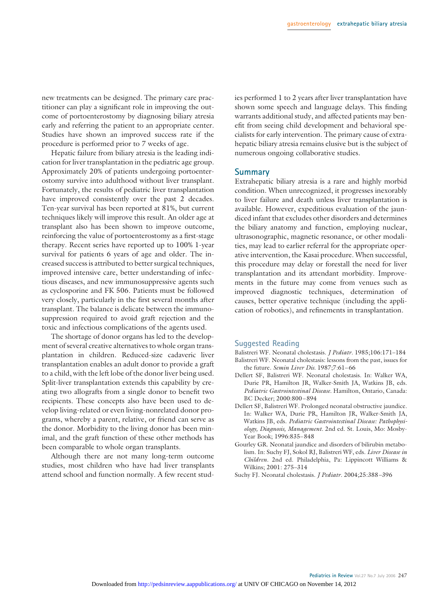new treatments can be designed. The primary care practitioner can play a significant role in improving the outcome of portoenterostomy by diagnosing biliary atresia early and referring the patient to an appropriate center. Studies have shown an improved success rate if the procedure is performed prior to 7 weeks of age.

Hepatic failure from biliary atresia is the leading indication for liver transplantation in the pediatric age group. Approximately 20% of patients undergoing portoenterostomy survive into adulthood without liver transplant. Fortunately, the results of pediatric liver transplantation have improved consistently over the past 2 decades. Ten-year survival has been reported at 81%, but current techniques likely will improve this result. An older age at transplant also has been shown to improve outcome, reinforcing the value of portoenterostomy as a first-stage therapy. Recent series have reported up to 100% 1-year survival for patients 6 years of age and older. The increased success is attributed to better surgical techniques, improved intensive care, better understanding of infectious diseases, and new immunosuppressive agents such as cyclosporine and FK 506. Patients must be followed very closely, particularly in the first several months after transplant. The balance is delicate between the immunosuppression required to avoid graft rejection and the toxic and infectious complications of the agents used.

The shortage of donor organs has led to the development of several creative alternatives to whole organ transplantation in children. Reduced-size cadaveric liver transplantation enables an adult donor to provide a graft to a child, with the left lobe of the donor liver being used. Split-liver transplantation extends this capability by creating two allografts from a single donor to benefit two recipients. These concepts also have been used to develop living-related or even living-nonrelated donor programs, whereby a parent, relative, or friend can serve as the donor. Morbidity to the living donor has been minimal, and the graft function of these other methods has been comparable to whole organ transplants.

Although there are not many long-term outcome studies, most children who have had liver transplants attend school and function normally. A few recent studies performed 1 to 2 years after liver transplantation have shown some speech and language delays. This finding warrants additional study, and affected patients may benefit from seeing child development and behavioral specialists for early intervention. The primary cause of extrahepatic biliary atresia remains elusive but is the subject of numerous ongoing collaborative studies.

#### **Summary**

Extrahepatic biliary atresia is a rare and highly morbid condition. When unrecognized, it progresses inexorably to liver failure and death unless liver transplantation is available. However, expeditious evaluation of the jaundiced infant that excludes other disorders and determines the biliary anatomy and function, employing nuclear, ultrasonographic, magnetic resonance, or other modalities, may lead to earlier referral for the appropriate operative intervention, the Kasai procedure. When successful, this procedure may delay or forestall the need for liver transplantation and its attendant morbidity. Improvements in the future may come from venues such as improved diagnostic techniques, determination of causes, better operative technique (including the application of robotics), and refinements in transplantation.

#### **Suggested Reading**

- Balistreri WF. Neonatal cholestasis. *J Pediatr.* 1985;106:171–184
- Balistreri WF. Neonatal cholestasis: lessons from the past, issues for the future. *Semin Liver Dis.* 1987;7:61-66
- Dellert SF, Balistreri WF. Neonatal cholestasis. In: Walker WA, Durie PR, Hamilton JR, Walker-Smith JA, Watkins JB, eds. *Pediatric Gastrointestinal Disease.* Hamilton, Ontario, Canada: BC Decker; 2000:800 – 894
- Dellert SF, Balistreri WF. Prolonged neonatal obstructive jaundice. In: Walker WA, Durie PR, Hamilton JR, Walker-Smith JA, Watkins JB, eds. *Pediatric Gastrointestinal Disease: Pathophysiology, Diagnosis, Management.* 2nd ed. St. Louis, Mo: Mosby-Year Book; 1996:835– 848
- Gourley GR. Neonatal jaundice and disorders of bilirubin metabolism. In: Suchy FJ, Sokol RJ, Balistreri WF, eds. *Liver Disease in Children.* 2nd ed. Philadelphia, Pa: Lippincott Williams & Wilkins; 2001: 275–314
- Suchy FJ. Neonatal cholestasis. *J Pediatr.* 2004;25:388 –396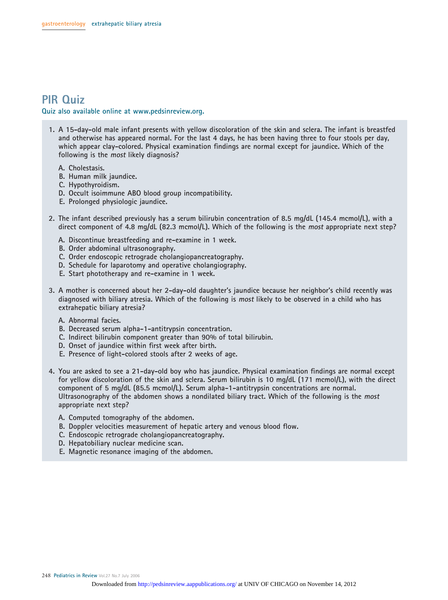#### **PIR Quiz**

**Quiz also available online at www.pedsinreview.org.**

- **1. A 15-day-old male infant presents with yellow discoloration of the skin and sclera. The infant is breastfed and otherwise has appeared normal. For the last 4 days, he has been having three to four stools per day, which appear clay-colored. Physical examination findings are normal except for jaundice. Which of the following is the most likely diagnosis?**
	- **A. Cholestasis.**
	- **B. Human milk jaundice.**
	- **C. Hypothyroidism.**
	- **D. Occult isoimmune ABO blood group incompatibility.**
	- **E. Prolonged physiologic jaundice.**
- **2. The infant described previously has a serum bilirubin concentration of 8.5 mg/dL (145.4 mcmol/L), with a direct component of 4.8 mg/dL (82.3 mcmol/L). Which of the following is the most appropriate next step?**
	- **A. Discontinue breastfeeding and re-examine in 1 week.**
	- **B. Order abdominal ultrasonography.**
	- **C. Order endoscopic retrograde cholangiopancreatography.**
	- **D. Schedule for laparotomy and operative cholangiography.**
	- **E. Start phototherapy and re-examine in 1 week.**
- **3. A mother is concerned about her 2-day-old daughter's jaundice because her neighbor's child recently was diagnosed with biliary atresia. Which of the following is most likely to be observed in a child who has extrahepatic biliary atresia?**
	- **A. Abnormal facies.**
	- **B. Decreased serum alpha-1-antitrypsin concentration.**
	- **C. Indirect bilirubin component greater than 90% of total bilirubin.**
	- **D. Onset of jaundice within first week after birth.**
	- **E. Presence of light-colored stools after 2 weeks of age.**
- **4. You are asked to see a 21-day-old boy who has jaundice. Physical examination findings are normal except for yellow discoloration of the skin and sclera. Serum bilirubin is 10 mg/dL (171 mcmol/L), with the direct component of 5 mg/dL (85.5 mcmol/L). Serum alpha-1-antitrypsin concentrations are normal. Ultrasonography of the abdomen shows a nondilated biliary tract. Which of the following is the most appropriate next step?**
	- **A. Computed tomography of the abdomen.**
	- **B. Doppler velocities measurement of hepatic artery and venous blood flow.**
	- **C. Endoscopic retrograde cholangiopancreatography.**
	- **D. Hepatobiliary nuclear medicine scan.**
	- **E. Magnetic resonance imaging of the abdomen.**